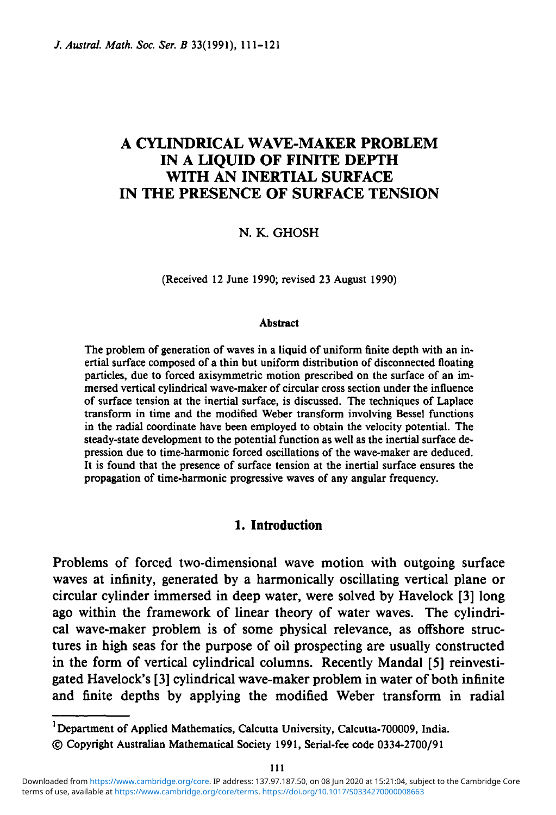# **A CYLINDRICAL WAVE-MAKER PROBLEM IN A LIQUID OF FINITE DEPTH WITH AN INERTIAL SURFACE IN THE PRESENCE OF SURFACE TENSION**

### N. K. GHOSH

(Received 12 June 1990; revised 23 August 1990)

#### **Abstract**

The problem of generation of waves in a liquid of uniform finite depth with an inertial surface composed of a thin but uniform distribution of disconnected floating particles, due to forced axisymmetric motion prescribed on the surface of an immersed vertical cylindrical wave-maker of circular cross section under the influence of surface tension at the inertial surface, is discussed. The techniques of Laplace transform in time and the modified Weber transform involving Bessel functions in the radial coordinate have been employed to obtain the velocity potential. The steady-state development to the potential function as well as the inertial surface depression due to time-harmonic forced oscillations of the wave-maker are deduced. It is found that the presence of surface tension at the inertial surface ensures the propagation of time-harmonic progressive waves of any angular frequency.

## **1. Introduction**

Problems of forced two-dimensional wave motion with outgoing surface waves at infinity, generated by a harmonically oscillating vertical plane or circular cylinder immersed in deep water, were solved by Havelock [3] long ago within the framework of linear theory of water waves. The cylindrical wave-maker problem is of some physical relevance, as offshore structures in high seas for the purpose of oil prospecting are usually constructed in the form of vertical cylindrical columns. Recently Mandal [5] reinvestigated Havelock's [3] cylindrical wave-maker problem in water of both infinite and finite depths by applying the modified Weber transform in radial

<sup>1</sup>Department of Applied Mathematics, Calcutta University, Calcutta-700009, India.

<sup>©</sup> Copyright Australian Mathematical Society 1991, Serial-fee code 0334-2700/91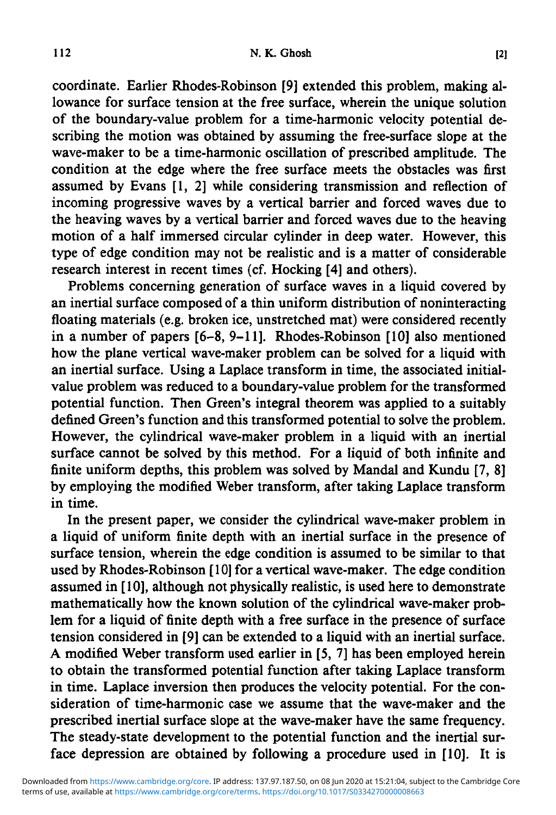coordinate. Earlier Rhodes-Robinson [9] extended this problem, making allowance for surface tension at the free surface, wherein the unique solution of the boundary-value problem for a time-harmonic velocity potential describing the motion was obtained by assuming the free-surface slope at the wave-maker to be a time-harmonic oscillation of prescribed amplitude. The condition at the edge where the free surface meets the obstacles was first assumed by Evans [1, 2] while considering transmission and reflection of incoming progressive waves by a vertical barrier and forced waves due to the heaving waves by a vertical barrier and forced waves due to the heaving motion of a half immersed circular cylinder in deep water. However, this type of edge condition may not be realistic and is a matter of considerable research interest in recent times (cf. Hocking [4] and others).

Problems concerning generation of surface waves in a liquid covered by an inertial surface composed of a thin uniform distribution of noninteracting floating materials (e.g. broken ice, unstretched mat) were considered recently in a number of papers [6-8, 9-11]. Rhodes-Robinson [10] also mentioned how the plane vertical wave-maker problem can be solved for a liquid with an inertial surface. Using a Laplace transform in time, the associated initialvalue problem was reduced to a boundary-value problem for the transformed potential function. Then Green's integral theorem was applied to a suitably defined Green's function and this transformed potential to solve the problem. However, the cylindrical wave-maker problem in a liquid with an inertial surface cannot be solved by this method. For a liquid of both infinite and finite uniform depths, this problem was solved by Mandal and Kundu [7, 8] by employing the modified Weber transform, after taking Laplace transform in time.

In the present paper, we consider the cylindrical wave-maker problem in a liquid of uniform finite depth with an inertial surface in the presence of surface tension, wherein the edge condition is assumed to be similar to that used by Rhodes-Robinson [10] for a vertical wave-maker. The edge condition assumed in [10], although not physically realistic, is used here to demonstrate mathematically how the known solution of the cylindrical wave-maker problem for a liquid of finite depth with a free surface in the presence of surface tension considered in [9] can be extended to a liquid with an inertial surface. A modified Weber transform used earlier in [5, 7] has been employed herein to obtain the transformed potential function after taking Laplace transform in time. Laplace inversion then produces the velocity potential. For the consideration of time-harmonic case we assume that the wave-maker and the prescribed inertial surface slope at the wave-maker have the same frequency. The steady-state development to the potential function and the inertial surface depression are obtained by following a procedure used in [10]. It is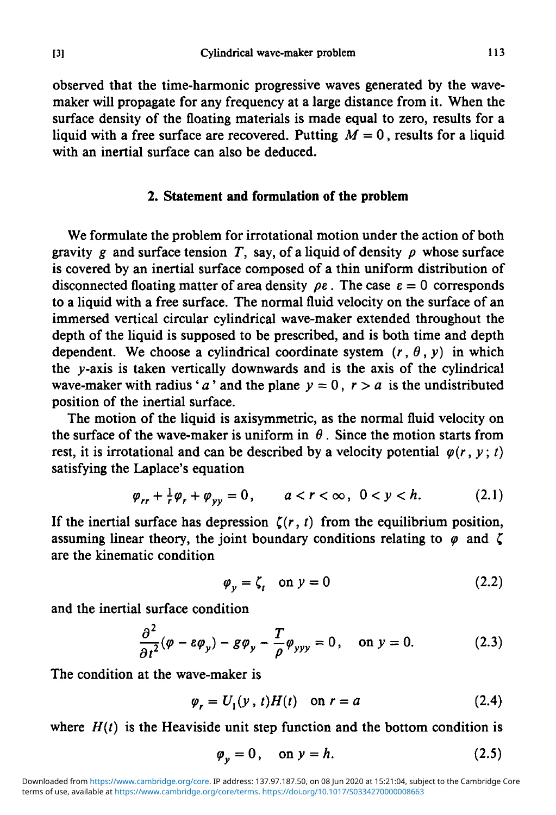observed that the time-harmonic progressive waves generated by the wavemaker will propagate for any frequency at a large distance from it. When the surface density of the floating materials is made equal to zero, results for a liquid with a free surface are recovered. Putting  $M = 0$ , results for a liquid with an inertial surface can also be deduced.

### **2. Statement and formulation of the problem**

We formulate the problem for irrotational motion under the action of both gravity g and surface tension T, say, of a liquid of density  $\rho$  whose surface is covered by an inertial surface composed of a thin uniform distribution of disconnected floating matter of area density  $\rho \varepsilon$ . The case  $\varepsilon = 0$  corresponds to a liquid with a free surface. The normal fluid velocity on the surface of an immersed vertical circular cylindrical wave-maker extended throughout the depth of the liquid is supposed to be prescribed, and is both time and depth dependent. We choose a cylindrical coordinate system  $(r, \theta, y)$  in which the  $\nu$ -axis is taken vertically downwards and is the axis of the cylindrical wave-maker with radius '*a*' and the plane  $y = 0$ ,  $r > a$  is the undistributed position of the inertial surface.

The motion of the liquid is axisymmetric, as the normal fluid velocity on the surface of the wave-maker is uniform in  $\theta$ . Since the motion starts from rest, it is irrotational and can be described by a velocity potential  $\varphi(r, y; t)$ satisfying the Laplace's equation

$$
\varphi_{rr} + \frac{1}{r} \varphi_r + \varphi_{yy} = 0, \qquad a < r < \infty, \ 0 < y < h. \tag{2.1}
$$

If the inertial surface has depression  $\zeta(r, t)$  from the equilibrium position, assuming linear theory, the joint boundary conditions relating to  $\varphi$  and  $\zeta$ are the kinematic condition

$$
\varphi_{v} = \zeta_{t} \quad \text{on } v = 0 \tag{2.2}
$$

and the inertial surface condition

$$
\frac{\partial^2}{\partial t^2}(\varphi - \varepsilon \varphi_y) - g \varphi_y - \frac{T}{\rho} \varphi_{yyy} = 0, \quad \text{on } y = 0.
$$
 (2.3)

The condition at the wave-maker is

$$
\varphi_r = U_1(y, t)H(t) \quad \text{on } r = a \tag{2.4}
$$

where  $H(t)$  is the Heaviside unit step function and the bottom condition is

$$
\varphi_{v} = 0, \quad \text{on } v = h. \tag{2.5}
$$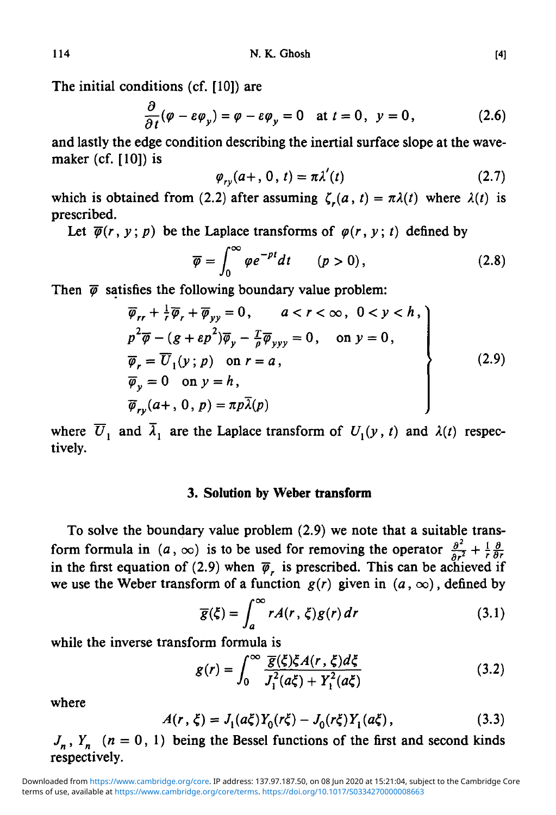The initial conditions (cf. [10]) are

$$
\frac{\partial}{\partial t}(\varphi - \varepsilon \varphi_y) = \varphi - \varepsilon \varphi_y = 0 \quad \text{at } t = 0, \ \ y = 0,
$$
 (2.6)

and lastly the edge condition describing the inertial surface slope at the wavemaker (cf. [10]) is

$$
\varphi_{ry}(a+, 0, t) = \pi \lambda'(t) \qquad (2.7)
$$

which is obtained from (2.2) after assuming  $\zeta_r(a, t) = \pi \lambda(t)$  where  $\lambda(t)$  is prescribed.

Let  $\overline{\varphi}(r, y; p)$  be the Laplace transforms of  $\varphi(r, y; t)$  defined by

$$
\overline{\varphi} = \int_0^\infty \varphi e^{-pt} dt \qquad (p > 0), \qquad (2.8)
$$

Then  $\bar{\varphi}$  satisfies the following boundary value problem:

$$
\overline{\varphi}_{rr} + \frac{1}{r} \overline{\varphi}_r + \overline{\varphi}_{yy} = 0, \qquad a < r < \infty, \quad 0 < y < h,
$$
  
\n
$$
p^2 \overline{\varphi} - (g + \varepsilon p^2) \overline{\varphi}_y - \frac{T}{\varphi} \overline{\varphi}_{yyy} = 0, \qquad \text{on } y = 0,
$$
  
\n
$$
\overline{\varphi}_r = \overline{U}_1(y; p) \quad \text{on } r = a,
$$
  
\n
$$
\overline{\varphi}_y = 0 \quad \text{on } y = h,
$$
  
\n
$$
\overline{\varphi}_{ry}(a+, 0, p) = \pi p \overline{\lambda}(p)
$$
\n(2.9)

where  $\overline{U}_1$  and  $\overline{\lambda}_1$  are the Laplace transform of  $U_1(y, t)$  and  $\lambda(t)$  respectively.

#### **3. Solution by Weber transform**

To solve the boundary value problem (2.9) we note that a suitable transform formula in  $(a, \infty)$  is to be used for removing the operator  $\frac{\partial^2}{\partial a^2} + \frac{1}{b} \frac{\partial}{\partial b}$ in the first equation of (2.9) when  $\bar{\varphi}$ , is prescribed. This can be achieved if we use the Weber transform of a function  $g(r)$  given in  $(a, \infty)$ , defined by

$$
\overline{g}(\xi) = \int_{a}^{\infty} r A(r, \xi) g(r) dr \qquad (3.1)
$$

while the inverse transform formula is

$$
g(r) = \int_0^\infty \frac{\overline{g}(\xi)\xi A(r,\xi)d\xi}{J_1^2(a\xi) + Y_1^2(a\xi)}\tag{3.2}
$$

where

$$
A(r,\xi) = J_1(a\xi)Y_0(r\xi) - J_0(r\xi)Y_1(a\xi),
$$
\n(3.3)

 $J_n$ ,  $Y_n$  ( $n = 0, 1$ ) being the Bessel functions of the first and second kinds respectively.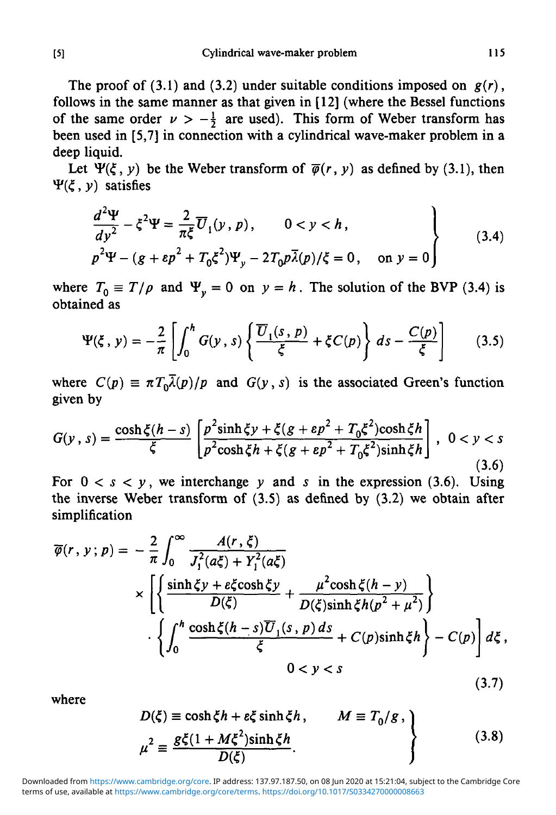The proof of (3.1) and (3.2) under suitable conditions imposed on  $g(r)$ , follows in the same manner as that given in [12] (where the Bessel functions of the same order  $\nu > -\frac{1}{2}$  are used). This form of Weber transform has been used in [5,7] in connection with a cylindrical wave-maker problem in a deep liquid.

Let  $\Psi(\xi, \nu)$  be the Weber transform of  $\overline{\varphi}(r, \nu)$  as defined by (3.1), then  $\Psi(\xi, y)$  satisfies

$$
\frac{d^2\Psi}{dy^2} - \xi^2 \Psi = \frac{2}{\pi \xi} \overline{U}_1(y, p), \qquad 0 < y < h,
$$
  
\n
$$
p^2 \Psi - (g + \epsilon p^2 + T_0 \xi^2) \Psi_y - 2T_0 p \overline{\lambda}(p) / \xi = 0, \quad \text{on } y = 0
$$
\n(3.4)

where  $T_0 \equiv T/\rho$  and  $\Psi_y = 0$  on  $y = h$ . The solution of the BVP (3.4) is obtained as

$$
\Psi(\xi, y) = -\frac{2}{\pi} \left[ \int_0^h G(y, s) \left\{ \frac{\overline{U}_1(s, p)}{\xi} + \xi C(p) \right\} ds - \frac{C(p)}{\xi} \right] \tag{3.5}
$$

where  $C(p) = \pi T_0 \overline{\lambda}(p)/p$  and  $G(y, s)$  is the associated Green's function given by

$$
G(y, s) = \frac{\cosh \xi (h - s)}{\xi} \left[ \frac{p^2 \sinh \xi y + \xi (g + \varepsilon p^2 + T_0 \xi^2) \cosh \xi h}{p^2 \cosh \xi h + \xi (g + \varepsilon p^2 + T_0 \xi^2) \sinh \xi h} \right], \quad 0 < y < s \tag{3.6}
$$

For  $0 < s < y$ , we interchange y and s in the expression (3.6). Using the inverse Weber transform of (3.5) as defined by (3.2) we obtain after simplification

$$
\overline{\varphi}(r, y; p) = -\frac{2}{\pi} \int_0^{\infty} \frac{A(r, \xi)}{J_1^2(a\xi) + Y_1^2(a\xi)}
$$
\n
$$
\times \left[ \left\{ \frac{\sinh \xi y + \varepsilon \xi \cosh \xi y}{D(\xi)} + \frac{\mu^2 \cosh \xi (h - y)}{D(\xi) \sinh \xi h (p^2 + \mu^2)} \right\} \right]
$$
\n
$$
\cdot \left\{ \int_0^h \frac{\cosh \xi (h - s) \overline{U}_1(s, p) ds}{\xi} + C(p) \sinh \xi h \right\} - C(p) \right] d\xi,
$$
\n
$$
0 < y < s
$$
\n(3.7)

where

$$
D(\xi) \equiv \cosh \xi h + \varepsilon \xi \sinh \xi h, \qquad M \equiv T_0 / g ,
$$
  

$$
\mu^2 \equiv \frac{g\xi(1 + M\xi^2)\sinh \xi h}{D(\xi)}.
$$
 (3.8)

terms of use, available at [https://www.cambridge.org/core/terms.](https://www.cambridge.org/core/terms) <https://doi.org/10.1017/S0334270000008663> Downloaded from [https://www.cambridge.org/core.](https://www.cambridge.org/core) IP address: 137.97.187.50, on 08 Jun 2020 at 15:21:04, subject to the Cambridge Core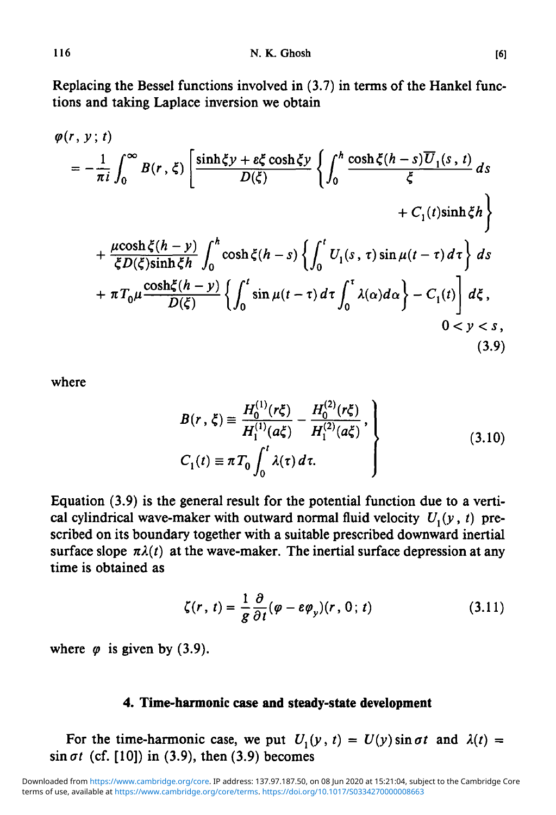Replacing the Bessel functions involved in (3.7) in terms of the Hankel functions and taking Laplace inversion we obtain

$$
\varphi(r, y; t)
$$
\n
$$
= -\frac{1}{\pi i} \int_0^\infty B(r, \xi) \left[ \frac{\sinh \xi y + e\xi \cosh \xi y}{D(\xi)} \left\{ \int_0^h \frac{\cosh \xi (h - s) \overline{U}_1(s, t)}{\xi} ds \right\} \right. \\
\left. + C_1(t) \sinh \xi h \right\}
$$
\n
$$
+ \frac{\mu \cosh \xi (h - y)}{\xi D(\xi) \sinh \xi h} \int_0^h \cosh \xi (h - s) \left\{ \int_0^t U_1(s, \tau) \sin \mu (t - \tau) d\tau \right\} ds
$$
\n
$$
+ \pi T_0 \mu \frac{\cosh \xi (h - y)}{D(\xi)} \left\{ \int_0^t \sin \mu (t - \tau) d\tau \int_0^\tau \lambda(\alpha) d\alpha \right\} - C_1(t) \right] d\xi,
$$
\n
$$
0 < y < s,
$$
\n(3.9)

where

$$
B(r, \xi) \equiv \frac{H_0^{(1)}(r\xi)}{H_1^{(1)}(a\xi)} - \frac{H_0^{(2)}(r\xi)}{H_1^{(2)}(a\xi)},
$$
  
\n
$$
C_1(t) \equiv \pi T_0 \int_0^t \lambda(\tau) d\tau.
$$
 (3.10)

Equation (3.9) is the general result for the potential function due to a vertical cylindrical wave-maker with outward normal fluid velocity  $U_1(y, t)$  prescribed on its boundary together with a suitable prescribed downward inertial surface slope  $\pi \lambda(t)$  at the wave-maker. The inertial surface depression at any time is obtained as

$$
\zeta(r, t) = \frac{1}{g} \frac{\partial}{\partial t} (\varphi - \varepsilon \varphi_y)(r, 0; t)
$$
 (3.11)

where  $\varphi$  is given by (3.9).

### **4. Time-harmonic case and steady-state development**

For the time-harmonic case, we put  $U_1(y, t) = U(y) \sin \sigma t$  and  $\lambda(t) =$  $\sin \sigma t$  (cf. [10]) in (3.9), then (3.9) becomes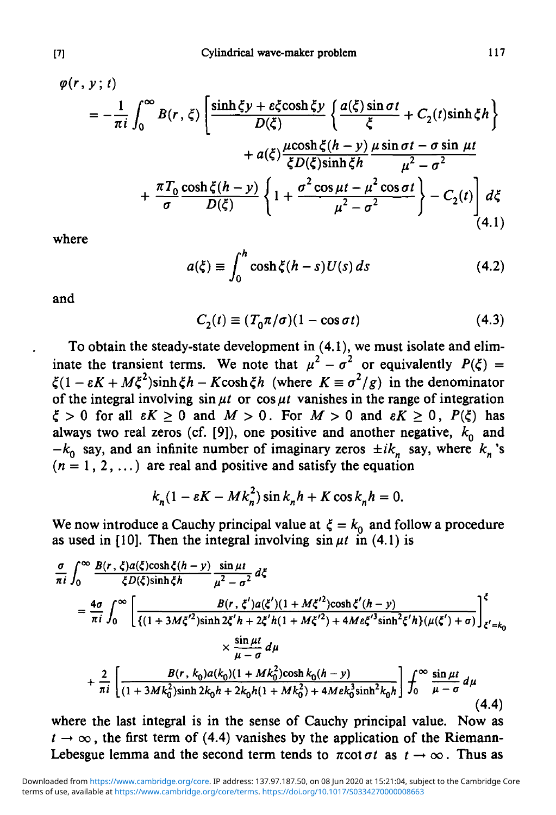$$
\varphi(r, y; t)
$$
\n
$$
= -\frac{1}{\pi i} \int_0^\infty B(r, \xi) \left[ \frac{\sinh \xi y + \varepsilon \xi \cosh \xi y}{D(\xi)} \left\{ \frac{a(\xi) \sin \sigma t}{\xi} + C_2(t) \sinh \xi h \right\} + a(\xi) \frac{\mu \cosh \xi (h - y)}{\xi D(\xi) \sinh \xi h} \frac{\mu \sin \sigma t - \sigma \sin \mu t}{\mu^2 - \sigma^2} + \frac{\pi T_0}{\sigma} \frac{\cosh \xi (h - y)}{D(\xi)} \left\{ 1 + \frac{\sigma^2 \cos \mu t - \mu^2 \cos \sigma t}{\mu^2 - \sigma^2} \right\} - C_2(t) \right] d\xi
$$
\n(4.1)

where

$$
a(\xi) \equiv \int_0^h \cosh \xi (h - s) U(s) \, ds \tag{4.2}
$$

and

$$
C_2(t) \equiv (T_0 \pi / \sigma)(1 - \cos \sigma t) \tag{4.3}
$$

To obtain the steady-state development in (4.1), we must isolate and eliminate the transient terms. We note that  $\mu^2 - \sigma^2$  or equivalently  $P(\xi) =$  $\zeta(1 - \varepsilon K + M\xi^2)\sinh\xi h - K\cosh\xi h$  (where  $K \equiv \sigma^2/g$ ) in the denominator of the integral involving  $\sin \mu t$  or  $\cos \mu t$  vanishes in the range of integration  $\xi > 0$  for all  $\epsilon K \ge 0$  and  $M > 0$ . For  $M > 0$  and  $\epsilon K \ge 0$ ,  $P(\xi)$  has always two real zeros (cf. [9]), one positive and another negative,  $k_0$  and  $-k_0$  say, and an infinite number of imaginary zeros  $\pm ik_n$  say, where  $k_n$ 's  $(n = 1, 2, ...)$  are real and positive and satisfy the equation

$$
k_n(1 - \varepsilon K - Mk_n^2) \sin k_n h + K \cos k_n h = 0.
$$

We now introduce a Cauchy principal value at  $\xi = k_0$  and follow a procedure as used in [10]. Then the integral involving  $\sin \mu t$  in (4.1) is

$$
\frac{\sigma}{\pi i} \int_0^\infty \frac{B(r, \xi) a(\xi) \cosh \xi (h - y)}{\xi D(\xi) \sinh \xi h} \frac{\sin \mu t}{\mu^2 - \sigma^2} d\xi
$$
\n
$$
= \frac{4\sigma}{\pi i} \int_0^\infty \left[ \frac{B(r, \xi') a(\xi')(1 + M\xi'^2) \cosh \xi' (h - y)}{\{(1 + 3M\xi'^2) \sinh 2\xi' h + 2\xi' h (1 + M\xi'^2) + 4M \epsilon \xi'^3 \sinh^2 \xi' h \} (\mu(\xi') + \sigma)} \right]_{\xi' = k_0}^\xi
$$
\n
$$
\times \frac{\sin \mu t}{\mu - \sigma} d\mu
$$
\n
$$
+ \frac{2}{\pi i} \left[ \frac{B(r, k_0) a(k_0)(1 + Mk_0^2) \cosh k_0 (h - y)}{(1 + 3Mk_0^2) \sinh 2k_0 h + 2k_0 h (1 + Mk_0^2) + 4M \epsilon k_0^3 \sinh^2 k_0 h} \right] \int_0^\infty \frac{\sin \mu t}{\mu - \sigma} d\mu
$$
\n(4.4)

where the last integral is in the sense of Cauchy principal value. Now as  $t \to \infty$ , the first term of (4.4) vanishes by the application of the Riemann-Lebesgue lemma and the second term tends to  $\pi \cot \sigma t$  as  $t \to \infty$ . Thus as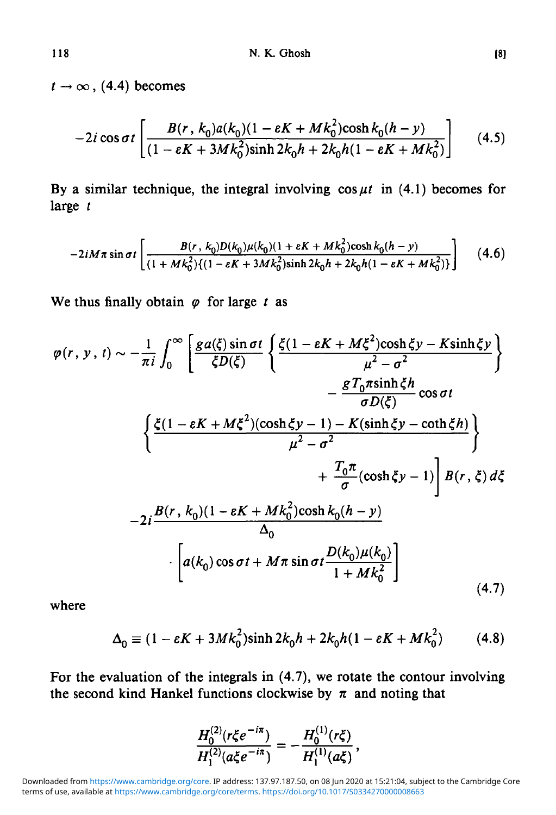$t \rightarrow \infty$ , (4.4) becomes

$$
-2i\cos\sigma t \left[ \frac{B(r, k_0)a(k_0)(1 - \varepsilon K + Mk_0^2)\cosh k_0(h - y)}{(1 - \varepsilon K + 3Mk_0^2)\sinh 2k_0h + 2k_0h(1 - \varepsilon K + Mk_0^2)} \right] \tag{4.5}
$$

By a similar technique, the integral involving  $\cos \mu t$  in (4.1) becomes for large *t*

$$
-2iM\pi\sin\sigma t\left[\frac{B(r, k_0)D(k_0)\mu(k_0)(1 + \varepsilon K + Mk_0^2)\cosh k_0(h - y)}{(1 + Mk_0^2)\{(1 - \varepsilon K + 3Mk_0^2)\sinh 2k_0h + 2k_0h(1 - \varepsilon K + Mk_0^2)\}}\right] \quad (4.6)
$$

We thus finally obtain  $\varphi$  for large t as

$$
\varphi(r, y, t) \sim -\frac{1}{\pi i} \int_0^\infty \left[ \frac{ga(\xi) \sin \sigma t}{\xi D(\xi)} \left\{ \frac{\xi (1 - \varepsilon K + M \xi^2) \cosh \xi y - K \sinh \xi y}{\mu^2 - \sigma^2} \right\} \right. \\ - \frac{gT_0 \pi \sinh \xi h}{\sigma D(\xi)} \cos \sigma t
$$

$$
\left\{ \frac{\xi (1 - \varepsilon K + M \xi^2) (\cosh \xi y - 1) - K (\sinh \xi y - \coth \xi h)}{\mu^2 - \sigma^2} \right\} \\ + \frac{T_0 \pi}{\sigma} (\cosh \xi y - 1) \right] B(r, \xi) d\xi
$$

$$
- 2i \frac{B(r, k_0)(1 - \varepsilon K + M k_0^2) \cosh k_0 (h - y)}{\Delta_0}
$$

$$
\cdot \left[ a(k_0) \cos \sigma t + M \pi \sin \sigma t \frac{D(k_0) \mu(k_0)}{1 + M k_0^2} \right]
$$
(4.7)

where

$$
\Delta_0 = (1 - \varepsilon K + 3Mk_0^2)\sinh 2k_0 h + 2k_0 h(1 - \varepsilon K + Mk_0^2)
$$
 (4.8)

For the evaluation of the integrals in (4.7), we rotate the contour involving the second kind Hankel functions clockwise by  $\pi$  and noting that

$$
\frac{H_0^{(2)}(r\xi e^{-i\pi})}{H_1^{(2)}(a\xi e^{-i\pi})}=-\frac{H_0^{(1)}(r\xi)}{H_1^{(1)}(a\xi)},
$$

terms of use, available at [https://www.cambridge.org/core/terms.](https://www.cambridge.org/core/terms) <https://doi.org/10.1017/S0334270000008663> Downloaded from [https://www.cambridge.org/core.](https://www.cambridge.org/core) IP address: 137.97.187.50, on 08 Jun 2020 at 15:21:04, subject to the Cambridge Core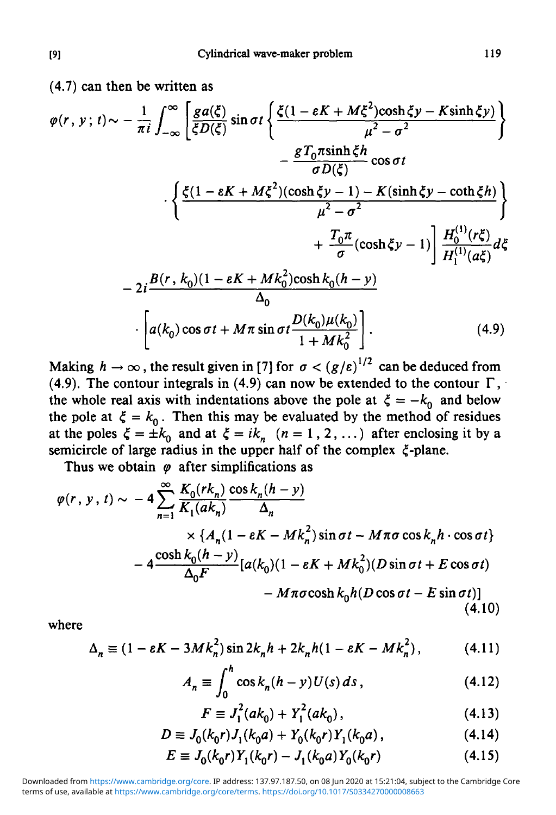(4.7) can then be written as

$$
\varphi(r, y; t) \sim -\frac{1}{\pi i} \int_{-\infty}^{\infty} \left[ \frac{ga(\xi)}{\xi D(\xi)} \sin \sigma t \left\{ \frac{\xi (1 - \varepsilon K + M\xi^2) \cosh \xi y - K \sinh \xi y}{\mu^2 - \sigma^2} \right\} \right. \\ \left. - \frac{gT_0 \pi \sinh \xi h}{\sigma D(\xi)} \cos \sigma t \right. \\ \left. \cdot \left\{ \frac{\xi (1 - \varepsilon K + M\xi^2) (\cosh \xi y - 1) - K (\sinh \xi y - \coth \xi h)}{\mu^2 - \sigma^2} \right\} \right. \\ \left. + \frac{T_0 \pi}{\sigma} (\cosh \xi y - 1) \right] \frac{H_0^{(1)}(r\xi)}{H_1^{(1)}(a\xi)} d\xi
$$

$$
- 2i \frac{B(r, k_0)(1 - \varepsilon K + Mk_0^2) \cosh k_0 (h - y)}{\Delta_0}
$$

$$
\cdot \left[ a(k_0) \cos \sigma t + M\pi \sin \sigma t \frac{D(k_0)\mu(k_0)}{1 + Mk_0^2} \right]. \tag{4.9}
$$

Making  $h \to \infty$ , the result given in [7] for  $\sigma < (g/\varepsilon)^{1/2}$  can be deduced from (4.9). The contour integrals in (4.9) can now be extended to the contour  $\Gamma$ , the whole real axis with indentations above the pole at  $\xi = -k_0$  and below the pole at  $\xi = k_0$ . Then this may be evaluated by the method of residues at the poles  $\zeta = \pm k_0$  and at  $\zeta = i k_n$   $(n = 1, 2, ...)$  after enclosing it by a semicircle of large radius in the upper half of the complex  $\xi$ -plane.

Thus we obtain  $\varphi$  after simplifications as

$$
\varphi(r, y, t) \sim -4 \sum_{n=1}^{\infty} \frac{K_0(rk_n)}{K_1(ak_n)} \frac{\cos k_n(h-y)}{\Delta_n}
$$
  
 
$$
\times \{A_n(1 - \varepsilon K - Mk_n^2) \sin \sigma t - M\pi\sigma \cos k_n h \cdot \cos \sigma t\}
$$
  
 
$$
-4 \frac{\cosh k_0(h-y)}{\Delta_0 F} [a(k_0)(1 - \varepsilon K + Mk_0^2)(D \sin \sigma t + E \cos \sigma t) - M\pi\sigma \cosh k_0 h(D \cos \sigma t - E \sin \sigma t)]
$$
(4.10)

where

$$
\Delta_n \equiv (1 - \varepsilon K - 3Mk_n^2) \sin 2k_n h + 2k_n h(1 - \varepsilon K - Mk_n^2), \qquad (4.11)
$$

$$
A_n \equiv \int_0^n \cos k_n (h - y) U(s) ds,
$$
 (4.12)

$$
F \equiv J_1^2(ak_0) + Y_1^2(ak_0), \tag{4.13}
$$

$$
D \equiv J_0(k_0 r) J_1(k_0 a) + Y_0(k_0 r) Y_1(k_0 a) , \qquad (4.14)
$$

$$
E \equiv J_0(k_0 r) Y_1(k_0 r) - J_1(k_0 a) Y_0(k_0 r)
$$
\n(4.15)

terms of use, available at [https://www.cambridge.org/core/terms.](https://www.cambridge.org/core/terms) <https://doi.org/10.1017/S0334270000008663> Downloaded from [https://www.cambridge.org/core.](https://www.cambridge.org/core) IP address: 137.97.187.50, on 08 Jun 2020 at 15:21:04, subject to the Cambridge Core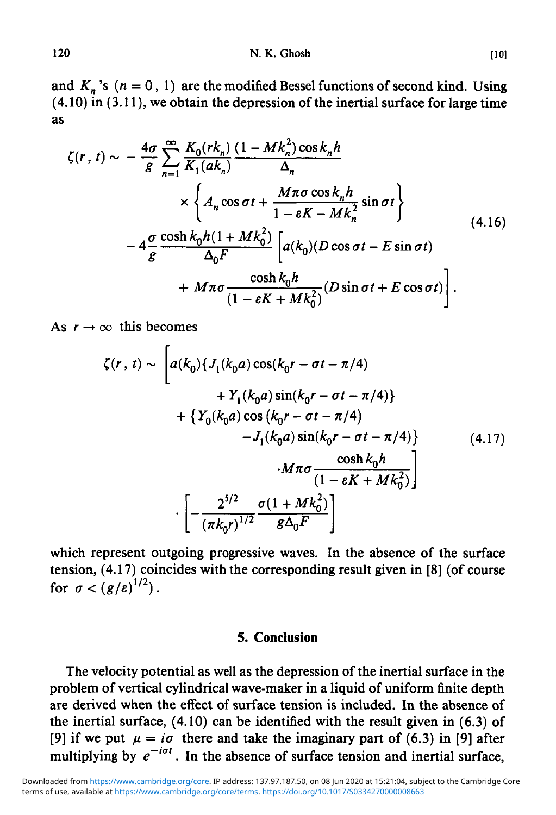and  $K_n$ 's  $(n = 0, 1)$  are the modified Bessel functions of second kind. Using  $(4.10)$  in  $(3.11)$ , we obtain the depression of the inertial surface for large time as

$$
\zeta(r, t) \sim -\frac{4\sigma}{g} \sum_{n=1}^{\infty} \frac{K_0(rk_n)}{K_1(ak_n)} \frac{(1 - Mk_n^2) \cos k_n h}{\Delta_n}
$$
  
 
$$
\times \left\{ A_n \cos \sigma t + \frac{M\pi \sigma \cos k_n h}{1 - eK - Mk_n^2} \sin \sigma t \right\}
$$
  
 
$$
-4\frac{\sigma}{g} \frac{\cosh k_0 h (1 + Mk_0^2)}{\Delta_0 F} \left[ a(k_0) (D \cos \sigma t - E \sin \sigma t) + M\pi \sigma \frac{\cosh k_0 h}{(1 - eK + Mk_0^2)} (D \sin \sigma t + E \cos \sigma t) \right].
$$
 (4.16)

As  $r \rightarrow \infty$  this becomes

$$
\zeta(r, t) \sim \left[ a(k_0) \{ J_1(k_0 a) \cos(k_0 r - \sigma t - \pi/4) + Y_1(k_0 a) \sin(k_0 r - \sigma t - \pi/4) \} + \{ Y_0(k_0 a) \cos(k_0 r - \sigma t - \pi/4) - J_1(k_0 a) \sin(k_0 r - \sigma t - \pi/4) \} \right] \qquad (4.17)
$$

$$
\cdot M \pi \sigma \frac{\cosh k_0 h}{(1 - \varepsilon K + M k_0^2)} \right] \qquad \cdot \left[ -\frac{2^{5/2}}{(\pi k_0 r)^{1/2}} \frac{\sigma (1 + M k_0^2)}{g \Delta_0 F} \right]
$$

which represent outgoing progressive waves. In the absence of the surface tension, (4.17) coincides with the corresponding result given in [8] (of course for  $\sigma < (g/\varepsilon)^{1/2}$ ).

### *5.* Conclusion

The velocity potential as well as the depression of the inertial surface in the problem of vertical cylindrical wave-maker in a liquid of uniform finite depth are derived when the effect of surface tension is included. In the absence of the inertial surface, (4.10) can be identified with the result given in (6.3) of [9] if we put  $\mu = i\sigma$  there and take the imaginary part of (6.3) in [9] after multiplying by  $e^{-i\sigma t}$ . In the absence of surface tension and inertial surface,